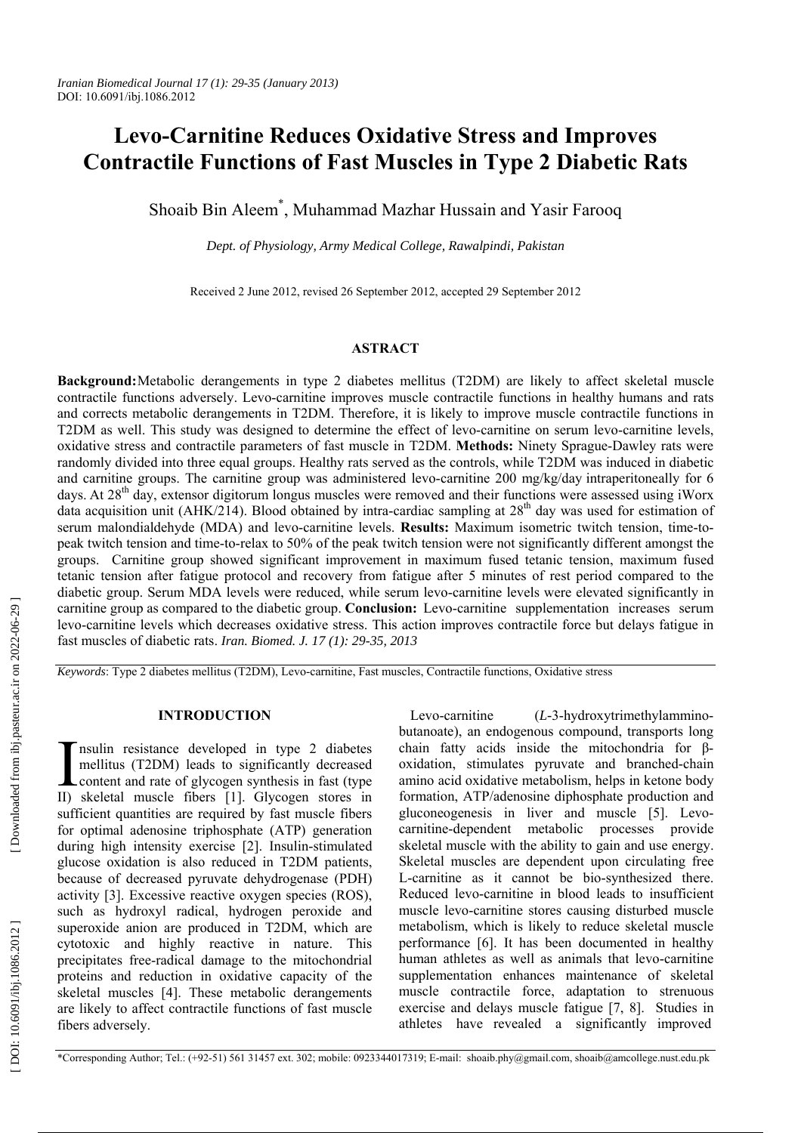# **Levo-Carnitine Reduces Oxidative Stress and Improves Contractile Functions of Fast Muscles in Type 2 Diabetic Rats**

Shoaib Bin Aleem \* , Muhammad Mazhar Hussain and Yasir Farooq

*Dept. of Physiology, Army Medical College, Rawalpindi, Pakistan* 

Received 2 June 2012, revised 26 September 2012, accepted 29 September 2012

# **ASTRACT**

**Background:** Metabolic derangements in type 2 diabetes mellitus (T2DM) are likely to affect skeletal muscle contractile functions adversely. Levo-carnitine improves muscle contractile functions in healthy humans and rats and corrects metabolic derangements in T2DM. Therefore, it is likely to improve muscle contractile functions in T2DM as well. This study was designed to determine the effect of levo-carnitine on serum levo-carnitine levels, oxidative stress and contractile parameters of fast muscle in T2DM. **Methods:** Ninety Sprague-Dawley rats were randomly divided into three equal groups. Healthy rats served as the controls, while T2DM was induced in diabetic and carnitine groups. The carnitine group was administered levo-carnitine 200 mg/kg/day intraperitoneally for 6 days. At 28<sup>th</sup> day, extensor digitorum longus muscles were removed and their functions were assessed using iWorx data acquisition unit (AHK/214). Blood obtained by intra-cardiac sampling at  $28<sup>th</sup>$  day was used for estimation of serum malondialdehyde (MDA) and levo-carnitine levels. **Results:** Maximum isometric twitch tension, time-topeak twitch tension and time-to-relax to 50% of the peak twitch tension were not significantly different amongst the groups. Carnitine group showed significant improvement in maximum fused tetanic tension, maximum fused tetanic tension after fatigue protocol and recovery from fatigue after 5 minutes of rest period compared to the diabetic group. Serum MDA levels were reduced, while serum levo-carnitine levels were elevated significantly in carnitine group as compared to the diabetic group. **Conclusion:** Levo-carnitine supplementation increases serum levo-carnitine levels which decreases oxidative stress. This action improves contractile force but delays fatigue in fast muscles of diabetic rats. *Iran. Biomed. J. 17 (1): 29-35, 2013*

*Keywords* : Type 2 diabetes mellitus (T2DM), Levo-carnitine, Fast muscles, Contractile functions, Oxidative stress

## **INTRODUCTION**

nsulin resistance developed in type 2 diabetes mellitus (T2DM) leads to significantly decreased T nsulin resistance developed in type 2 diabetes<br>
mellitus (T2DM) leads to significantly decreased<br>
content and rate of glycogen synthesis in fast (type<br>
ID skeletal muscle fibers [1] Glycogen stores in II) skeletal muscle fibers [1]. Glycogen stores in sufficient quantities are required by fast muscle fibers for optimal adenosine triphosphate (ATP) generation during high intensity exercise [2]. Insulin-stimulated glucose oxidation is also reduced in T2DM patients, because of decreased pyruvate dehydrogenase (PDH) activity [3]. Excessive reactive oxygen species (ROS), such as hydroxyl radical, hydrogen peroxide and superoxide anion are produced in T2DM, which are cytotoxic and highly reactive in nature. This precipitates free-radical damage to the mitochondrial proteins and reduction in oxidative capacity of the skeletal muscles [4]. These metabolic derangements are likely to affect contractile functions of fast muscle fibers adversely.

Levo-carnitine (*L-*3-hydroxytrimethylamminobutanoate), an endogenous compound, transports long chain fatty acids inside the mitochondria for  $\beta$ oxidation, stimulates pyruvate and branched-chain amino acid oxidative metabolism, helps in ketone body formation, ATP/adenosine diphosphate production and gluconeogenesis in liver and muscle [5]. Levocarnitine-dependent metabolic processes provide skeletal muscle with the ability to gain and use energy. Skeletal muscles are dependent upon circulating free L-carnitine as it cannot be bio-synthesized there. Reduced levo-carnitine in blood leads to insufficient muscle levo-carnitine stores causing disturbed muscle metabolism, which is likely to reduce skeletal muscle performance [6]. It has been documented in healthy human athletes as well as animals that levo-carnitine supplementation enhances maintenance of skeletal muscle contractile force, adaptation to strenuous exercise and delays muscle fatigue [7, 8]. Studies in athletes have revealed a significantly improved

[Downloaded from ibj.pasteur.ac.ir on 2022-06-29]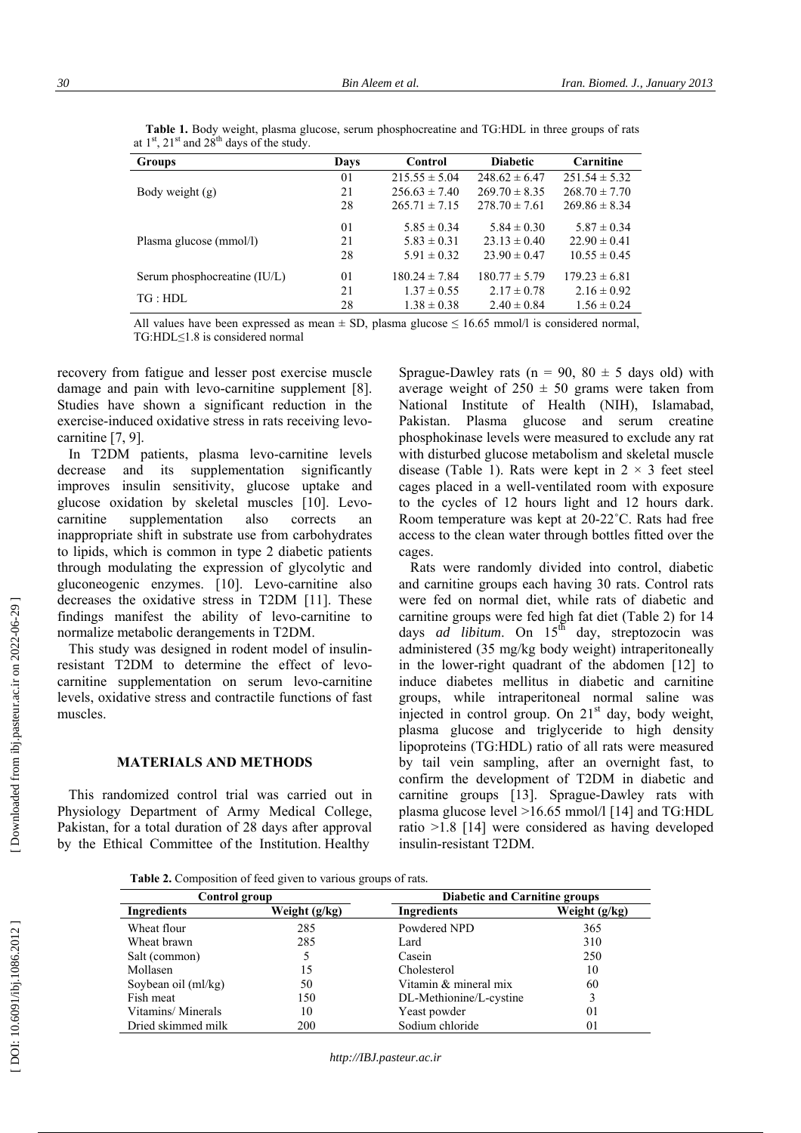| <b>Groups</b>                | Days | Control           | <b>Diabetic</b>   | Carnitine         |
|------------------------------|------|-------------------|-------------------|-------------------|
|                              | 01   | $215.55 \pm 5.04$ | $248.62 \pm 6.47$ | $251.54 \pm 5.32$ |
| Body weight $(g)$            | 21   | $256.63 \pm 7.40$ | $269.70 \pm 8.35$ | $268.70 \pm 7.70$ |
|                              | 28   | $265.71 \pm 7.15$ | $278.70 \pm 7.61$ | $269.86 \pm 8.34$ |
|                              | 01   | $5.85 \pm 0.34$   | $5.84 \pm 0.30$   | $5.87 \pm 0.34$   |
| Plasma glucose (mmol/l)      | 21   | $5.83 \pm 0.31$   | $23.13 \pm 0.40$  | $22.90 \pm 0.41$  |
|                              | 28   | $5.91 \pm 0.32$   | $23.90 \pm 0.47$  | $10.55 \pm 0.45$  |
| Serum phosphocreatine (IU/L) | 01   | $180.24 \pm 7.84$ | $180.77 \pm 5.79$ | $179.23 \pm 6.81$ |
| TG:HDL                       | 21   | $1.37 \pm 0.55$   | $2.17 \pm 0.78$   | $2.16 \pm 0.92$   |
|                              | 28   | $1.38 \pm 0.38$   | $2.40 \pm 0.84$   | $1.56 \pm 0.24$   |

 **Table 1.** Body weight, plasma glucose, serum phosphocreatine and TG:HDL in three groups of rats at  $1<sup>st</sup>$ ,  $21<sup>st</sup>$  and  $28<sup>th</sup>$  days of the study.

All values have been expressed as mean  $\pm$  SD, plasma glucose  $\leq$  16.65 mmol/l is considered normal, TG:HDL ≤1.8 is considered normal

recovery from fatigue and lesser post exercise muscle damage and pain with levo-carnitine supplement [8]. Studies have shown a significant reduction in the exercise-induced oxidative stress in rats receiving levocarnitine [7, 9].

In T2DM patients, plasma levo-carnitine levels decrease and its supplementation significantly improves insulin sensitivity, glucose uptake and glucose oxidation by skeletal muscles [10]. Levocarnitine supplementation also corrects an inappropriate shift in substrate use from carbohydrates to lipids, which is common in type 2 diabetic patients through modulating the expression of glycolytic and gluconeogenic enzymes. [10]. Levo-carnitine also decreases the oxidative stress in T2DM [11]. These findings manifest the ability of levo-carnitine to normalize metabolic derangements in T2DM.

This study was designed in rodent model of insulinresistant T2DM to determine the effect of levocarnitine supplementation on serum levo-carnitine levels, oxidative stress and contractile functions of fast muscles.

## **MATERIALS AND METHODS**

This randomized control trial was carried out in Physiology Department of Army Medical College, Pakistan, for a total duration of 28 days after approval by the Ethical Committee of the Institution. Healthy

Sprague-Dawley rats ( $n = 90$ ,  $80 \pm 5$  days old) with average weight of  $250 \pm 50$  grams were taken from National Institute of Health (NIH), Islamabad, Pakistan. Plasma glucose and serum creatine phosphokinase levels were measured to exclude any rat with disturbed glucose metabolism and skeletal muscle disease (Table 1). Rats were kept in  $2 \times 3$  feet steel cages placed in a well-ventilated room with exposure to the cycles of 12 hours light and 12 hours dark. Room temperature was kept at 20-22<sup>°</sup>C. Rats had free access to the clean water through bottles fitted over the cages.

Rats were randomly divided into control, diabetic and carnitine groups each having 30 rats. Control rats were fed on normal diet, while rats of diabetic and carnitine groups were fed high fat diet (Table 2) for 14 days *ad libitum*. On 15<sup>th</sup> day, streptozocin was administered (35 mg/kg body weight) intraperitoneally in the lower-right quadrant of the abdomen [12] to induce diabetes mellitus in diabetic and carnitine groups, while intraperitoneal normal saline was injected in control group. On  $21<sup>st</sup>$  day, body weight, plasma glucose and triglyceride to high density lipoproteins (TG:HDL) ratio of all rats were measured by tail vein sampling, after an overnight fast, to confirm the development of T2DM in diabetic and carnitine groups [13]. Sprague-Dawley rats with plasma glucose level >16.65 mmol/l [14] and TG:HDL ratio >1.8 [14] were considered as having developed insulin-resistant T2DM.

Table 2. Composition of feed given to various groups of rats.

| Control group       |               |                         | <b>Diabetic and Carnitine groups</b> |  |
|---------------------|---------------|-------------------------|--------------------------------------|--|
| Ingredients         | Weight (g/kg) | Ingredients             | Weight (g/kg)                        |  |
| Wheat flour         | 285           | Powdered NPD            | 365                                  |  |
| Wheat brawn         | 285           | Lard                    | 310                                  |  |
| Salt (common)       |               | Casein                  | 250                                  |  |
| Mollasen            | 15            | Cholesterol             | 10                                   |  |
| Soybean oil (ml/kg) | 50            | Vitamin & mineral mix   | 60                                   |  |
| Fish meat           | 150           | DL-Methionine/L-cystine |                                      |  |
| Vitamins/Minerals   | 10            | Yeast powder            | 01                                   |  |
| Dried skimmed milk  | 200           | Sodium chloride         | 01                                   |  |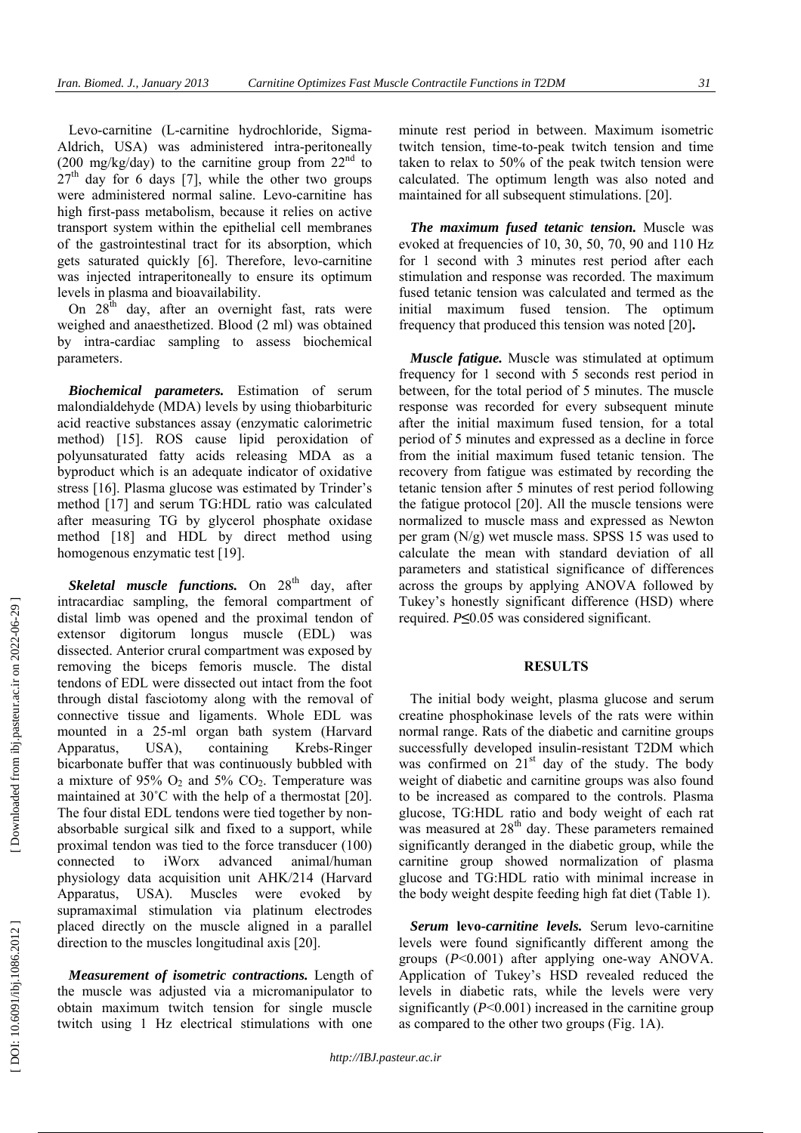Levo-carnitine (L-carnitine hydrochloride, Sigma-Aldrich, USA) was administered intra-peritoneally (200 mg/kg/day) to the carnitine group from  $22<sup>nd</sup>$  to  $27<sup>th</sup>$  day for 6 days [7], while the other two groups were administered normal saline. Levo-carnitine has high first-pass metabolism, because it relies on active transport system within the epithelial cell membranes of the gastrointestinal tract for its absorption, which gets saturated quickly [6]. Therefore, levo-carnitine was injected intraperitoneally to ensure its optimum levels in plasma and bioavailability.

On  $28<sup>th</sup>$  day, after an overnight fast, rats were weighed and anaesthetized. Blood (2 ml) was obtained by intra-cardiac sampling to assess biochemical parameters.

*Biochemical parameters.* Estimation of serum malondialdehyde (MDA) levels by using thiobarbituric acid reactive substances assay (enzymatic calorimetric method) [15]. ROS cause lipid peroxidation of polyunsaturated fatty acids releasing MDA as a byproduct which is an adequate indicator of oxidative stress [16]. Plasma glucose was estimated by Trinder's method [17] and serum TG:HDL ratio was calculated after measuring TG by glycerol phosphate oxidase method [18] and HDL by direct method using homogenous enzymatic test [19].

*Skeletal muscle functions.* On 28<sup>th</sup> day, after intracardiac sampling, the femoral compartment of distal limb was opened and the proximal tendon of extensor digitorum longus muscle (EDL) was dissected. Anterior crural compartment was exposed by removing the biceps femoris muscle. The distal tendons of EDL were dissected out intact from the foot through distal fasciotomy along with the removal of connective tissue and ligaments. Whole EDL was mounted in a 25-ml organ bath system (Harvard Apparatus, USA), containing Krebs-Ringer bicarbonate buffer that was continuously bubbled with a mixture of 95%  $O_2$  and 5%  $CO_2$ . Temperature was maintained at 30°C with the help of a thermostat [20]. The four distal EDL tendons were tied together by nonabsorbable surgical silk and fixed to a support, while proximal tendon was tied to the force transducer (100) connected to iWorx advanced animal/human physiology data acquisition unit AHK/214 (Harvard Apparatus, USA). Muscles were evoked by supramaximal stimulation via platinum electrodes placed directly on the muscle aligned in a parallel direction to the muscles longitudinal axis [20].

*Measurement of isometric contractions.* Length of the muscle was adjusted via a micromanipulator to obtain maximum twitch tension for single muscle twitch using 1 Hz electrical stimulations with one

minute rest period in between. Maximum isometric twitch tension, time-to-peak twitch tension and time taken to relax to 50% of the peak twitch tension were calculated. The optimum length was also noted and maintained for all subsequent stimulations. [20].

*The maximum fused tetanic tension.* Muscle was evoked at frequencies of 10, 30, 50, 70, 90 and 110 Hz for 1 second with 3 minutes rest period after each stimulation and response was recorded. The maximum fused tetanic tension was calculated and termed as the initial maximum fused tension. The optimum frequency that produced this tension was noted [20]**.** 

*Muscle fatigue.* Muscle was stimulated at optimum frequency for 1 second with 5 seconds rest period in between, for the total period of 5 minutes. The muscle response was recorded for every subsequent minute after the initial maximum fused tension, for a total period of 5 minutes and expressed as a decline in force from the initial maximum fused tetanic tension. The recovery from fatigue was estimated by recording the tetanic tension after 5 minutes of rest period following the fatigue protocol [20]. All the muscle tensions were normalized to muscle mass and expressed as Newton per gram (N/g) wet muscle mass. SPSS 15 was used to calculate the mean with standard deviation of all parameters and statistical significance of differences across the groups by applying ANOVA followed by Tukey's honestly significant difference (HSD) where required. *P* **≤**0.05 was considered significant.

#### **RESULTS**

The initial body weight, plasma glucose and serum creatine phosphokinase levels of the rats were within normal range. Rats of the diabetic and carnitine groups successfully developed insulin-resistant T2DM which was confirmed on  $21<sup>st</sup>$  day of the study. The body weight of diabetic and carnitine groups was also found to be increased as compared to the controls. Plasma glucose, TG:HDL ratio and body weight of each rat was measured at 28<sup>th</sup> day. These parameters remained significantly deranged in the diabetic group, while the carnitine group showed normalization of plasma glucose and TG:HDL ratio with minimal increase in the body weight despite feeding high fat diet (Table 1).

*Serum* **levo***-carnitine levels.* Serum levo-carnitine levels were found significantly different among the groups ( *P*<0.001) after applying one-way ANOVA. Application of Tukey's HSD revealed reduced the levels in diabetic rats, while the levels were very significantly ( *P*<0.001) increased in the carnitine group as compared to the other two groups (Fig. 1A).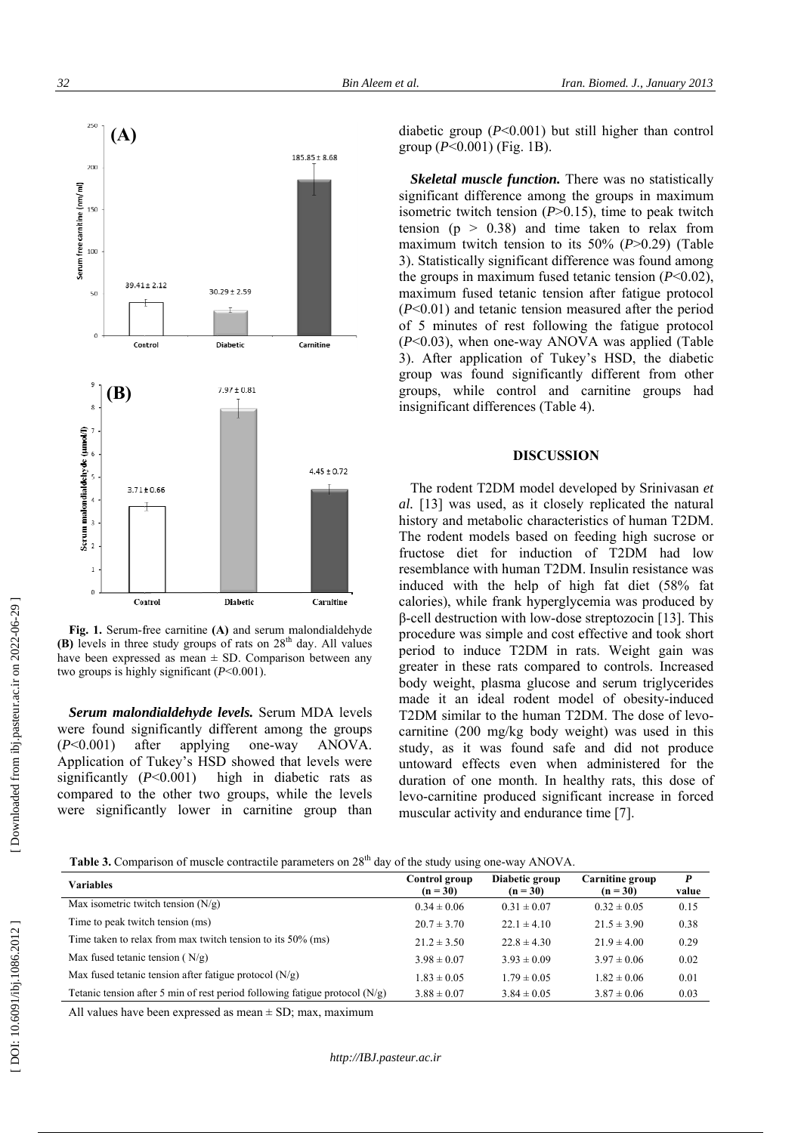

Fig. 1. Serum-free carnitine (A) and serum malondialdehyd  $(B)$  levels in three study groups of rats on  $28<sup>th</sup>$  day. All value have been expressed as mean  $\pm$  SD. Comparison between an two groups is highly significant  $(P<0.001)$ .

Serum malondialdehyde levels. Serum MDA leve were found significantly different among the group ( *P* < <0.001) af Application of Tukey's HSD showed that levels wer Application of T<br>significantly (*P* significantly  $(P<0.001)$  high in diabetic rats a<br>compared to the other two groups, while the leve were significantly lower in carnitine group tha<br> **Table 3.** Comparison of muscle contractile parameters on 28 fter applyi n ng one-w a high in diabetic rats a ANOVA. yde<br>ues<br>any<br>els<br>ps A.<br>ere<br>as<br>els<br>an diabetic group  $(P<0.001)$  but still higher th group  $(P<0.001)$  (Fig. 1B). diabetic group (*P*<0.001) but still higher than control group (*P*<0.001) (Fig. 1B).<br> *Skeletal muscle function*. There was no statistically

significant difference among the groups in maximum significant difference among the groups in isometric twitch tension  $(P>0.15)$ , time to p isometric twitch tension ( $P > 0.15$ ), time to peak twitch tension ( $p > 0.38$ ) and time taken to relax from maximum twitch tension to its  $50\%$  ( $P>0$ . 3). Statistically significant difference was fou the groups in maximum fused tetanic tension maximum fused tetanic tension after fatigu  $(P<0.01)$  and tetanic tension measured after the period of 5 minutes of rest following the fatigu  $(P<0.03)$ , when one-way ANOVA was appl 3). After application of Tukey's HSD, th group was found significantly different f groups, while control and carnitine gr groups, while control and car<br>insignificant differences (Table 4). 29) (Table<br>bund among<br>n (*P*<0.02),<br>ue protocol ue protocol<br>plied (Table<br>the diabetic<br>from other<br>groups had<br>rinivasan *et* 

#### **DISCUSSION**

The rodent T2DM model developed by Sr al. [13] was used, as it closely al. [13] was used, as it closely replicated the natural history and metabolic characteristics of human T2DM. The rodent models based on feeding high sucrose or fructose diet for induction of T2DM had low fructose diet for induction of T2DM had low<br>resemblance with human T2DM. Insulin resistance was induced with the help of high fat diet (58% fat induced with the help of high fat diet calories), while frank hyperglycemia was pr β-cell destruction with low-dose streptozocin procedure was simple and cost effective and period to induce T2DM in rats. Weight gain was greater in these rats compared to controls. Increased greater in these rats compared to controls. body weight, plasma glucose and serum tr made it an ideal rodent model of obesi T2DM similar to the human T2DM. The do carnitine (200 mg/kg body weight) was us study, as it was found safe and did no untoward effects even when administere<br>duration of one month. In healthy rats, th duration of one month. In healthy rats, th levo-carnitine produced significant increase muscular activity and endurance time [7]. ic group ( $(P<0.001)$ <br>*letal musc*<br>*icant differ*<br>*icant differ*<br>*icant differ*<br>*inceral muscrials in the point with the n (p > 0<br><i>num fused*<br>*inceral muscrials in the multure of 33), when<br><i>fter applicant diff*<br>*if* and *i* produced by<br>in [13]. This<br>d took short . Increased riglycerides ity-induced ose of levo sed in this ot produce ed for the his dose of e in forced

| <b>Table 3.</b> Comparison of muscle contractile parameters on $28th$ day of the study using one-way ANOVA. |  |  |  |
|-------------------------------------------------------------------------------------------------------------|--|--|--|
|-------------------------------------------------------------------------------------------------------------|--|--|--|

| <b>Variables</b>                                                              | Control group<br>$(n = 30)$ | Diabetic group<br>$(n = 30)$ | Carnitine group<br>$(n = 30)$ | P<br>value |
|-------------------------------------------------------------------------------|-----------------------------|------------------------------|-------------------------------|------------|
| Max isometric twitch tension $(N/g)$                                          | $0.34 \pm 0.06$             | $0.31 \pm 0.07$              | $0.32 \pm 0.05$               | 0.15       |
| Time to peak twitch tension (ms)                                              | $20.7 \pm 3.70$             | $22.1 \pm 4.10$              | $21.5 \pm 3.90$               | 0.38       |
| Time taken to relax from max twitch tension to its 50% (ms)                   | $21.2 \pm 3.50$             | $22.8 \pm 4.30$              | $21.9 \pm 4.00$               | 0.29       |
| Max fused tetanic tension $(N/g)$                                             | $3.98 \pm 0.07$             | $3.93 \pm 0.09$              | $3.97 \pm 0.06$               | 0.02       |
| Max fused tetanic tension after fatigue protocol $(N/g)$                      | $1.83 \pm 0.05$             | $1.79 \pm 0.05$              | $1.82 \pm 0.06$               | 0.01       |
| Tetanic tension after 5 min of rest period following fatigue protocol $(N/g)$ | $3.88 \pm 0.07$             | $3.84 \pm 0.05$              | $3.87 \pm 0.06$               | 0.03       |

DOI: 10.6091/ibj.1086.2012]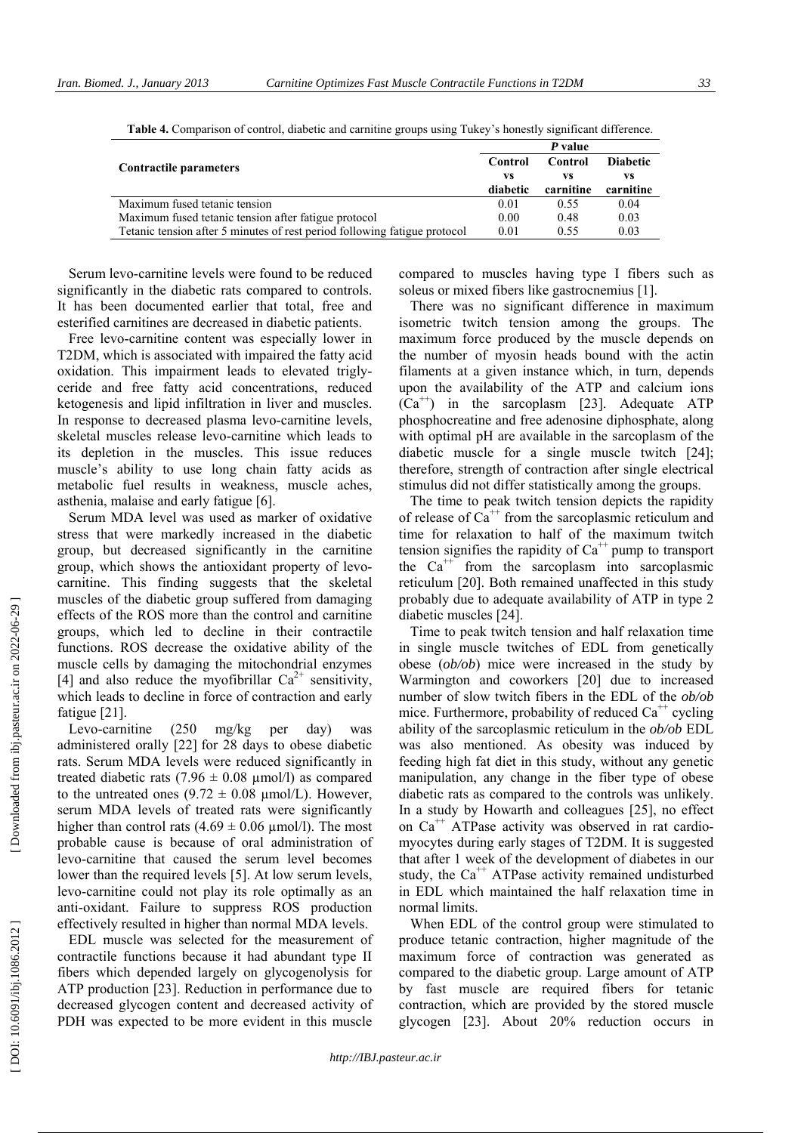|                                                                           | P value  |           |                 |  |
|---------------------------------------------------------------------------|----------|-----------|-----------------|--|
| Contractile parameters                                                    | Control  | Control   | <b>Diabetic</b> |  |
|                                                                           | VS<br>VS |           | VS              |  |
|                                                                           | diabetic | carnitine | carnitine       |  |
| Maximum fused tetanic tension                                             | 0.01     | 0.55      | 0.04            |  |
| Maximum fused tetanic tension after fatigue protocol                      | 0.00     | 0.48      | 0.03            |  |
| Tetanic tension after 5 minutes of rest period following fatigue protocol | 0.01     | 0.55      | 0.03            |  |

**Table 4.** Comparison of control, diabetic and carnitine groups using Tukey's honestly significant difference.

Serum levo-carnitine levels were found to be reduced significantly in the diabetic rats compared to controls. It has been documented earlier that total, free and esterified carnitines are decreased in diabetic patients.

Free levo-carnitine content was especially lower in T2DM, which is associated with impaired the fatty acid oxidation. This impairment leads to elevated triglyceride and free fatty acid concentrations, reduced ketogenesis and lipid infiltration in liver and muscles. In response to decreased plasma levo-carnitine levels, skeletal muscles release levo-carnitine which leads to its depletion in the muscles. This issue reduces muscle's ability to use long chain fatty acids as metabolic fuel results in weakness, muscle aches, asthenia, malaise and early fatigue [6].

Serum MDA level was used as marker of oxidative stress that were markedly increased in the diabetic group, but decreased significantly in the carnitine group, which shows the antioxidant property of levocarnitine. This finding suggests that the skeletal muscles of the diabetic group suffered from damaging effects of the ROS more than the control and carnitine groups, which led to decline in their contractile functions. ROS decrease the oxidative ability of the muscle cells by damaging the mitochondrial enzymes [4] and also reduce the myofibrillar  $Ca^{2+}$  sensitivity, which leads to decline in force of contraction and early fatigue [21].

Levo-carnitine (250 mg/kg per day) was administered orally [22] for 28 days to obese diabetic rats. Serum MDA levels were reduced significantly in treated diabetic rats  $(7.96 \pm 0.08 \text{ mmol/l})$  as compared to the untreated ones  $(9.72 \pm 0.08 \mu mol/L)$ . However, serum MDA levels of treated rats were significantly higher than control rats  $(4.69 \pm 0.06 \,\mu\text{mol/l})$ . The most probable cause is because of oral administration of levo-carnitine that caused the serum level becomes lower than the required levels [5]. At low serum levels, levo-carnitine could not play its role optimally as an anti-oxidant. Failure to suppress ROS production effectively resulted in higher than normal MDA levels.

EDL muscle was selected for the measurement of contractile functions because it had abundant type II fibers which depended largely on glycogenolysis for ATP production [23]. Reduction in performance due to decreased glycogen content and decreased activity of PDH was expected to be more evident in this muscle

compared to muscles having type I fibers such as soleus or mixed fibers like gastrocnemius [1].

There was no significant difference in maximum isometric twitch tension among the groups. The maximum force produced by the muscle depends on the number of myosin heads bound with the actin filaments at a given instance which, in turn, depends upon the availability of the ATP and calcium ions  $(Ca^{++})$  in the sarcoplasm [23]. Adequate ATP phosphocreatine and free adenosine diphosphate, along with optimal pH are available in the sarcoplasm of the diabetic muscle for a single muscle twitch [24]; therefore, strength of contraction after single electrical stimulus did not differ statistically among the groups.

The time to peak twitch tension depicts the rapidity of release of  $Ca^{++}$  from the sarcoplasmic reticulum and time for relaxation to half of the maximum twitch tension signifies the rapidity of  $Ca^{++}$  pump to transport the  $Ca^{++}$  from the sarcoplasm into sarcoplasmic reticulum [20]. Both remained unaffected in this study probably due to adequate availability of ATP in type 2 diabetic muscles [24].

Time to peak twitch tension and half relaxation time in single muscle twitches of EDL from genetically obese (*ob/ob*) mice were increased in the study by Warmington and coworkers [20] due to increased number of slow twitch fibers in the EDL of the *ob/ob* mice. Furthermore, probability of reduced  $Ca^{++}$  cycling ability of the sarcoplasmic reticulum in the *ob/ob* EDL was also mentioned. As obesity was induced by feeding high fat diet in this study, without any genetic manipulation, any change in the fiber type of obese diabetic rats as compared to the controls was unlikely. In a study by Howarth and colleagues [25], no effect on  $Ca<sup>++</sup>$  ATPase activity was observed in rat cardiomyocytes during early stages of T2DM. It is suggested that after 1 week of the development of diabetes in our study, the  $Ca^{++}$  ATPase activity remained undisturbed in EDL which maintained the half relaxation time in normal limits.

When EDL of the control group were stimulated to produce tetanic contraction, higher magnitude of the maximum force of contraction was generated as compared to the diabetic group. Large amount of ATP by fast muscle are required fibers for tetanic contraction, which are provided by the stored muscle glycogen [23]. About 20% reduction occurs in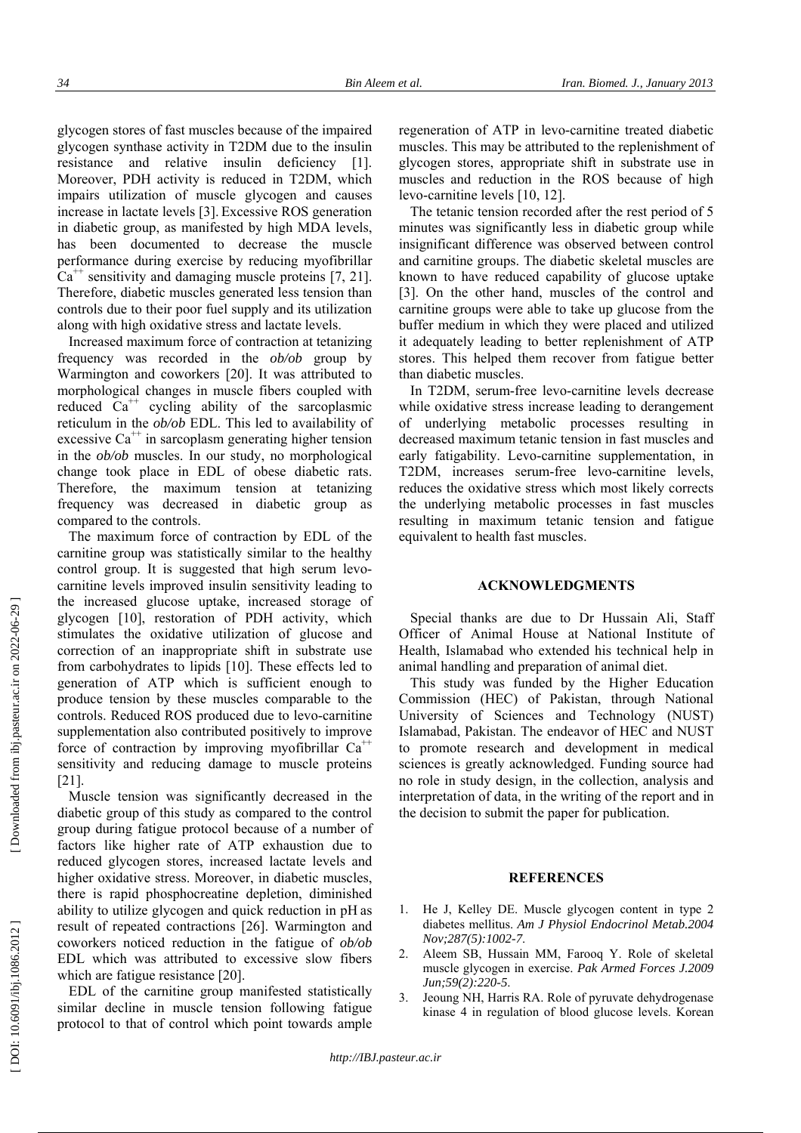glycogen stores of fast muscles because of the impaired glycogen synthase activity in T2DM due to the insulin resistance and relative insulin deficiency [1]. Moreover, PDH activity is reduced in T2DM, which impairs utilization of muscle glycogen and causes increase in lactate levels [3]. Excessive ROS generation in diabetic group, as manifested by high MDA levels, has been documented to decrease the muscle performance during exercise by reducing myofibrillar  $Ca<sup>++</sup>$  sensitivity and damaging muscle proteins [7, 21]. Therefore, diabetic muscles generated less tension than controls due to their poor fuel supply and its utilization along with high oxidative stress and lactate levels.

Increased maximum force of contraction at tetanizing frequency was recorded in the *ob/ob* group by Warmington and coworkers [20]. It was attributed to morphological changes in muscle fibers coupled with reduced  $Ca^{++}$  cycling ability of the sarcoplasmic reticulum in the *ob/ob* EDL. This led to availability of excessive  $Ca^{++}$  in sarcoplasm generating higher tension in the *ob/ob* muscles. In our study, no morphological change took place in EDL of obese diabetic rats. Therefore, the maximum tension at tetanizing frequency was decreased in diabetic group as compared to the controls.

The maximum force of contraction by EDL of the carnitine group was statistically similar to the healthy control group. It is suggested that high serum levocarnitine levels improved insulin sensitivity leading to the increased glucose uptake, increased storage of glycogen [10], restoration of PDH activity, which stimulates the oxidative utilization of glucose and correction of an inappropriate shift in substrate use from carbohydrates to lipids [10]. These effects led to generation of ATP which is sufficient enough to produce tension by these muscles comparable to the controls. Reduced ROS produced due to levo-carnitine supplementation also contributed positively to improve force of contraction by improving myofibrillar  $Ca^{++}$ sensitivity and reducing damage to muscle proteins [21].

Muscle tension was significantly decreased in the diabetic group of this study as compared to the control group during fatigue protocol because of a number of factors like higher rate of ATP exhaustion due to reduced glycogen stores, increased lactate levels and higher oxidative stress. Moreover, in diabetic muscles, there is rapid phosphocreatine depletion, diminished ability to utilize glycogen and quick reduction in pH as result of repeated contractions [26]. Warmington and coworkers noticed reduction in the fatigue of *ob/ob* EDL which was attributed to excessive slow fibers which are fatigue resistance [20].

EDL of the carnitine group manifested statistically similar decline in muscle tension following fatigue protocol to that of control which point towards ample

regeneration of ATP in levo *-*carnitine treated diabetic muscles. This may be attributed to the replenishment of glycogen stores, appropriate shift in substrate use in muscles and reduction in the ROS because of high levo-carnitine levels [10, 12].

The tetanic tension recorded after the rest period of 5 minutes was significantly less in diabetic group while insignificant difference was observed between control and carnitine groups. The diabetic skeletal muscles are known to have reduced capability of glucose uptake [3]. On the other hand, muscles of the control and carnitine groups were able to take up glucose from the buffer medium in which they were placed and utilized it adequately leading to better replenishment of ATP stores. This helped them recover from fatigue better than diabetic muscles.

In T2DM, serum-free levo-carnitine levels decrease while oxidative stress increase leading to derangement of underlying metabolic processes resulting in decreased maximum tetanic tension in fast muscles and early fatigability. Levo-carnitine supplementation, in T2DM, increases serum-free levo-carnitine levels, reduces the oxidative stress which most likely corrects the underlying metabolic processes in fast muscles resulting in maximum tetanic tension and fatigue equivalent to health fast muscles.

### **ACKNOWLEDGMENTS**

Special thanks are due to Dr Hussain Ali, Staff Officer of Animal House at National Institute of Health, Islamabad who extended his technical help in animal handling and preparation of animal diet.

This study was funded by the Higher Education Commission (HEC) of Pakistan, through National University of Sciences and Technology (NUST) Islamabad, Pakistan. The endeavor of HEC and NUST to promote research and development in medical sciences is greatly acknowledged. Funding source had no role in study design, in the collection, analysis and interpretation of data, in the writing of the report and in the decision to submit the paper for publication.

## **REFERENCES**

- 1. He J, Kelley DE. Muscle glycogen content in type 2 diabetes mellitus. *Am J Physiol Endocrinol Metab.2004 Nov;287(5):1002-7*.
- 2. Aleem SB, Hussain MM, Farooq Y. Role of skeletal muscle glycogen in exercise. *Pak Armed Forces J.2009 Jun;59(2):220-5*.
- 3. Jeoung NH, Harris RA. Role of pyruvate dehydrogenase kinase 4 in regulation of blood glucose levels. Korean